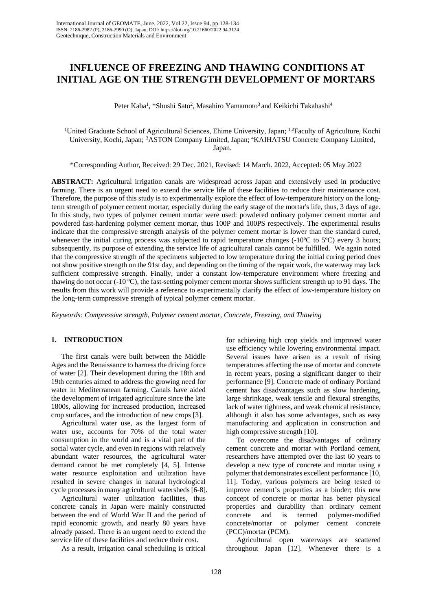# **INFLUENCE OF FREEZING AND THAWING CONDITIONS AT INITIAL AGE ON THE STRENGTH DEVELOPMENT OF MORTARS**

Peter Kaba<sup>1</sup>, \*Shushi Sato<sup>2</sup>, Masahiro Yamamoto<sup>3</sup> and Keikichi Takahashi<sup>4</sup>

<sup>1</sup>United Graduate School of Agricultural Sciences, Ehime University, Japan; <sup>1,2</sup>Faculty of Agriculture, Kochi University, Kochi, Japan; <sup>3</sup>ASTON Company Limited, Japan; <sup>4</sup>KAIHATSU Concrete Company Limited, Japan.

\*Corresponding Author, Received: 29 Dec. 2021, Revised: 14 March. 2022, Accepted: 05 May 2022

**ABSTRACT:** Agricultural irrigation canals are widespread across Japan and extensively used in productive farming. There is an urgent need to extend the service life of these facilities to reduce their maintenance cost. Therefore, the purpose of this study is to experimentally explore the effect of low-temperature history on the longterm strength of polymer cement mortar, especially during the early stage of the mortar's life, thus, 3 days of age. In this study, two types of polymer cement mortar were used: powdered ordinary polymer cement mortar and powdered fast-hardening polymer cement mortar, thus 100P and 100PS respectively. The experimental results indicate that the compressive strength analysis of the polymer cement mortar is lower than the standard cured, whenever the initial curing process was subjected to rapid temperature changes  $(-10^{\circ}\text{C})$  to  $5^{\circ}\text{C}$ ) every 3 hours; subsequently, its purpose of extending the service life of agricultural canals cannot be fulfilled. We again noted that the compressive strength of the specimens subjected to low temperature during the initial curing period does not show positive strength on the 91st day, and depending on the timing of the repair work, the waterway may lack sufficient compressive strength. Finally, under a constant low-temperature environment where freezing and thawing do not occur (-10  $^{\circ}$ C), the fast-setting polymer cement mortar shows sufficient strength up to 91 days. The results from this work will provide a reference to experimentally clarify the effect of low-temperature history on the long-term compressive strength of typical polymer cement mortar.

*Keywords: Compressive strength, Polymer cement mortar, Concrete, Freezing, and Thawing* 

# **1. INTRODUCTION**

The first canals were built between the Middle Ages and the Renaissance to harness the driving force of water [2]. Their development during the 18th and 19th centuries aimed to address the growing need for water in Mediterranean farming. Canals have aided the development of irrigated agriculture since the late 1800s, allowing for increased production, increased crop surfaces, and the introduction of new crops [3].

Agricultural water use, as the largest form of water use, accounts for 70% of the total water consumption in the world and is a vital part of the social water cycle, and even in regions with relatively abundant water resources, the agricultural water demand cannot be met completely [4, 5]. Intense water resource exploitation and utilization have resulted in severe changes in natural hydrological cycle processes in many agricultural watersheds [6-8].

Agricultural water utilization facilities, thus concrete canals in Japan were mainly constructed between the end of World War II and the period of rapid economic growth, and nearly 80 years have already passed. There is an urgent need to extend the service life of these facilities and reduce their cost.

As a result, irrigation canal scheduling is critical

for achieving high crop yields and improved water use efficiency while lowering environmental impact. Several issues have arisen as a result of rising temperatures affecting the use of mortar and concrete in recent years, posing a significant danger to their performance [9]. Concrete made of ordinary Portland cement has disadvantages such as slow hardening, large shrinkage, weak tensile and flexural strengths, lack of water tightness, and weak chemical resistance, although it also has some advantages, such as easy manufacturing and application in construction and high compressive strength [10].

To overcome the disadvantages of ordinary cement concrete and mortar with Portland cement, researchers have attempted over the last 60 years to develop a new type of concrete and mortar using a polymer that demonstrates excellent performance [10, 11]. Today, various polymers are being tested to improve cement's properties as a binder; this new concept of concrete or mortar has better physical properties and durability than ordinary cement concrete and is termed polymer-modified concrete/mortar or polymer cement concrete (PCC)/mortar (PCM).

Agricultural open waterways are scattered throughout Japan [12]. Whenever there is a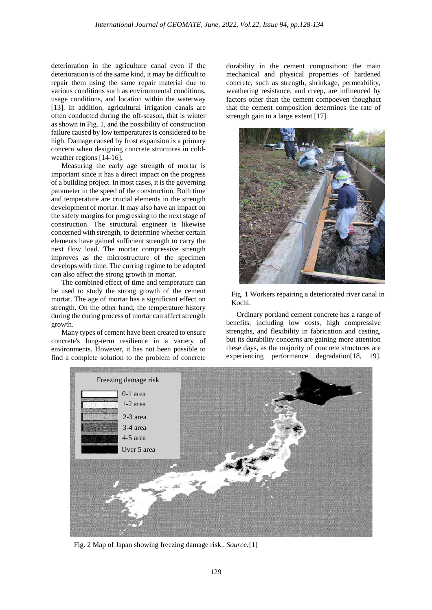deterioration in the agriculture canal even if the deterioration is of the same kind, it may be difficult to repair them using the same repair material due to various conditions such as environmental conditions, usage conditions, and location within the waterway [13]. In addition, agricultural irrigation canals are often conducted during the off-season, that is winter as shown in Fig. 1, and the possibility of construction failure caused by low temperatures is considered to be high. Damage caused by frost expansion is a primary concern when designing concrete structures in coldweather regions [14-16].

Measuring the early age strength of mortar is important since it has a direct impact on the progress of a building project. In most cases, it is the governing parameter in the speed of the construction. Both time and temperature are crucial elements in the strength development of mortar. It may also have an impact on the safety margins for progressing to the next stage of construction. The structural engineer is likewise concerned with strength, to determine whether certain elements have gained sufficient strength to carry the next flow load. The mortar compressive strength improves as the microstructure of the specimen develops with time. The curring regime to be adopted can also affect the strong growth in mortar.

The combined effect of time and temperature can be used to study the strong growth of the cement mortar. The age of mortar has a significant effect on strength. On the other hand, the temperature history during the curing process of mortar can affect strength growth.

Many types of cement have been created to ensure concrete's long-term resilience in a variety of environments. However, it has not been possible to find a complete solution to the problem of concrete

durability in the cement composition: the main mechanical and physical properties of hardened concrete, such as strength, shrinkage, permeability, weathering resistance, and creep, are influenced by factors other than the cement compoeven thoughact that the cement composition determines the rate of strength gain to a large extent [17].



Fig. 1 Workers repairing a deteriorated river canal in Kochi.

Ordinary portland cement concrete has a range of benefits, including low costs, high compressive strengths, and flexibility in fabrication and casting, but its durability concerns are gaining more attention these days, as the majority of concrete structures are experiencing performance degradation [18, 19].



Fig. 2 Map of Japan showing freezing damage risk.. *Source:*[1]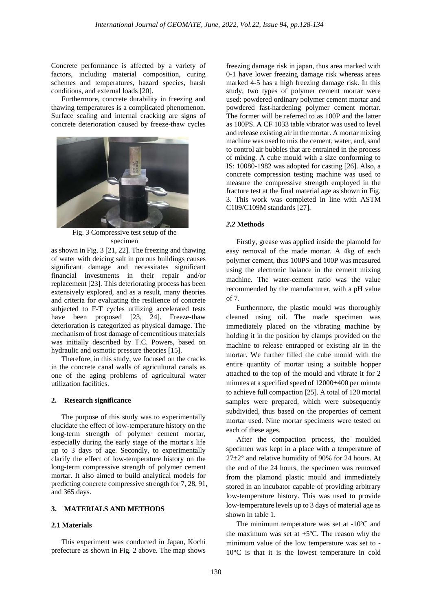Concrete performance is affected by a variety of factors, including material composition, curing schemes and temperatures, hazard species, harsh conditions, and external loads [20].

Furthermore, concrete durability in freezing and thawing temperatures is a complicated phenomenon. Surface scaling and internal cracking are signs of concrete deterioration caused by freeze-thaw cycles



Fig. 3 Compressive test setup of the specimen

as shown in Fig. 3 [21, 22]. The freezing and thawing of water with deicing salt in porous buildings causes significant damage and necessitates significant financial investments in their repair and/or replacement [23]. This deteriorating process has been extensively explored, and as a result, many theories and criteria for evaluating the resilience of concrete subjected to F-T cycles utilizing accelerated tests have been proposed [23, 24]. Freeze-thaw deterioration is categorized as physical damage. The mechanism of frost damage of cementitious materials was initially described by T.C. Powers, based on hydraulic and osmotic pressure theories [15].

Therefore, in this study, we focused on the cracks in the concrete canal walls of agricultural canals as one of the aging problems of agricultural water utilization facilities.

# **2. Research significance**

The purpose of this study was to experimentally elucidate the effect of low-temperature history on the long-term strength of polymer cement mortar, especially during the early stage of the mortar's life up to 3 days of age. Secondly, to experimentally clarify the effect of low-temperature history on the long-term compressive strength of polymer cement mortar. It also aimed to build analytical models for predicting concrete compressive strength for 7, 28, 91, and 365 days.

# **3. MATERIALS AND METHODS**

## **2.1 Materials**

This experiment was conducted in Japan, Kochi prefecture as shown in Fig. 2 above. The map shows freezing damage risk in japan, thus area marked with 0-1 have lower freezing damage risk whereas areas marked 4-5 has a high freezing damage risk. In this study, two types of polymer cement mortar were used: powdered ordinary polymer cement mortar and powdered fast-hardening polymer cement mortar. The former will be referred to as 100P and the latter as 100PS. A CF 1033 table vibrator was used to level and release existing air in the mortar. A mortar mixing machine was used to mix the cement, water, and, sand to control air bubbles that are entrained in the process of mixing. A cube mould with a size conforming to IS: 10080-1982 was adopted for casting [26]. Also, a concrete compression testing machine was used to measure the compressive strength employed in the fracture test at the final material age as shown in Fig. 3. This work was completed in line with ASTM C109/C109M standards [27].

#### *2.2* **Methods**

Firstly, grease was applied inside the plamold for easy removal of the made mortar. A 4kg of each polymer cement, thus 100PS and 100P was measured using the electronic balance in the cement mixing machine. The water-cement ratio was the value recommended by the manufacturer, with a pH value of 7.

Furthermore, the plastic mould was thoroughly cleaned using oil. The made specimen was immediately placed on the vibrating machine by holding it in the position by clamps provided on the machine to release entrapped or existing air in the mortar. We further filled the cube mould with the entire quantity of mortar using a suitable hopper attached to the top of the mould and vibrate it for 2 minutes at a specified speed of 12000±400 per minute to achieve full compaction [25]. A total of 120 mortal samples were prepared, which were subsequently subdivided, thus based on the properties of cement mortar used. Nine mortar specimens were tested on each of these ages.

After the compaction process, the moulded specimen was kept in a place with a temperature of 27±2° and relative humidity of 90% for 24 hours. At the end of the 24 hours, the specimen was removed from the plamond plastic mould and immediately stored in an incubator capable of providing arbitrary low-temperature history. This was used to provide low-temperature levels up to 3 days of material age as shown in table 1.

The minimum temperature was set at -10ºC and the maximum was set at  $+5^{\circ}$ C. The reason why the minimum value of the low temperature was set to - 10°C is that it is the lowest temperature in cold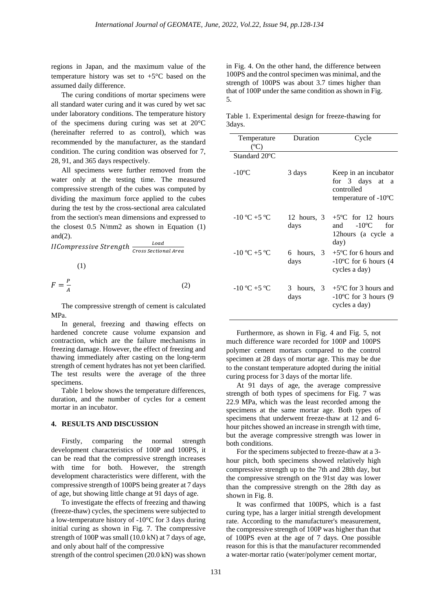regions in Japan, and the maximum value of the temperature history was set to  $+5^{\circ}$ C based on the assumed daily difference.

The curing conditions of mortar specimens were all standard water curing and it was cured by wet sac under laboratory conditions. The temperature history of the specimens during curing was set at 20°C (hereinafter referred to as control), which was recommended by the manufacturer, as the standard condition. The curing condition was observed for 7, 28, 91, and 365 days respectively.

All specimens were further removed from the water only at the testing time. The measured compressive strength of the cubes was computed by dividing the maximum force applied to the cubes during the test by the cross-sectional area calculated from the section's mean dimensions and expressed to the closest 0.5 N/mm2 as shown in Equation (1) and $(2)$ .

IICompressive Strength  $\frac{Local}{Cross\,Sectional\,A}}$ (1)

$$
F = \frac{P}{A} \tag{2}
$$

The compressive strength of cement is calculated MPa.

In general, freezing and thawing effects on hardened concrete cause volume expansion and contraction, which are the failure mechanisms in freezing damage. However, the effect of freezing and thawing immediately after casting on the long-term strength of cement hydrates has not yet been clarified. The test results were the average of the three specimens.

Table 1 below shows the temperature differences, duration, and the number of cycles for a cement mortar in an incubator.

## **4. RESULTS AND DISCUSSION**

Firstly, comparing the normal strength development characteristics of 100P and 100PS, it can be read that the compressive strength increases with time for both. However, the strength development characteristics were different, with the compressive strength of 100PS being greater at 7 days of age, but showing little change at 91 days of age.

To investigate the effects of freezing and thawing (freeze-thaw) cycles, the specimens were subjected to a low-temperature history of -10°C for 3 days during initial curing as shown in Fig. 7. The compressive strength of 100P was small (10.0 kN) at 7 days of age, and only about half of the compressive

strength of the control specimen (20.0 kN) was shown

in Fig. 4. On the other hand, the difference between 100PS and the control specimen was minimal, and the strength of 100PS was about 3.7 times higher than that of 100P under the same condition as shown in Fig. 5.

Table 1. Experimental design for freeze-thawing for 3days.

| Temperature<br>$(C^{\circ}C)$                 | Duration              | Cycle                                                                                       |
|-----------------------------------------------|-----------------------|---------------------------------------------------------------------------------------------|
| Standard 20°C                                 |                       |                                                                                             |
| $-10^{\circ}$ C                               | 3 days                | Keep in an incubator<br>for 3 days at a<br>controlled<br>temperature of $-10^{\circ}$ C     |
| $-10\,^{\circ}\text{C} + 5\,^{\circ}\text{C}$ | $12$ hours, 3<br>days | $+5^{\circ}$ C for 12 hours<br>$-10^{\circ}$ C<br>and<br>for<br>12 hours (a cycle a<br>day) |
| $-10\,^{\circ}\text{C} + 5\,^{\circ}\text{C}$ | 6 hours, 3<br>days    | $+5$ °C for 6 hours and<br>$-10^{\circ}$ C for 6 hours (4<br>cycles a day)                  |
| $-10\,^{\circ}\text{C} + 5\,^{\circ}\text{C}$ | 3 hours, 3<br>days    | $+5$ °C for 3 hours and<br>$-10^{\circ}$ C for 3 hours (9<br>cycles a day)                  |

Furthermore, as shown in Fig. 4 and Fig. 5, not much difference ware recorded for 100P and 100PS polymer cement mortars compared to the control specimen at 28 days of mortar age. This may be due to the constant temperature adopted during the initial curing process for 3 days of the mortar life.

At 91 days of age, the average compressive strength of both types of specimens for Fig. 7 was 22.9 MPa, which was the least recorded among the specimens at the same mortar age. Both types of specimens that underwent freeze-thaw at 12 and 6 hour pitches showed an increase in strength with time, but the average compressive strength was lower in both conditions.

For the specimens subjected to freeze-thaw at a 3 hour pitch, both specimens showed relatively high compressive strength up to the 7th and 28th day, but the compressive strength on the 91st day was lower than the compressive strength on the 28th day as shown in Fig. 8.

It was confirmed that 100PS, which is a fast curing type, has a larger initial strength development rate. According to the manufacturer's measurement, the compressive strength of 100P was higher than that of 100PS even at the age of 7 days. One possible reason for this is that the manufacturer recommended a water-mortar ratio (water/polymer cement mortar,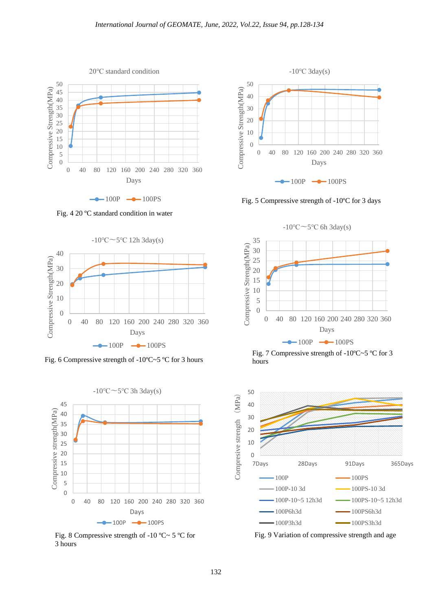

 $-$ 100P  $-$ 100PS

Fig. 4 20 ºC standard condition in water



Fig. 6 Compressive strength of -10ºC~5 ºC for 3 hours



Fig. 8 Compressive strength of -10 °C ~ 5 °C for 3 hours



Fig. 5 Compressive strength of -10ºC for 3 days





Fig. 9 Variation of compressive strength and age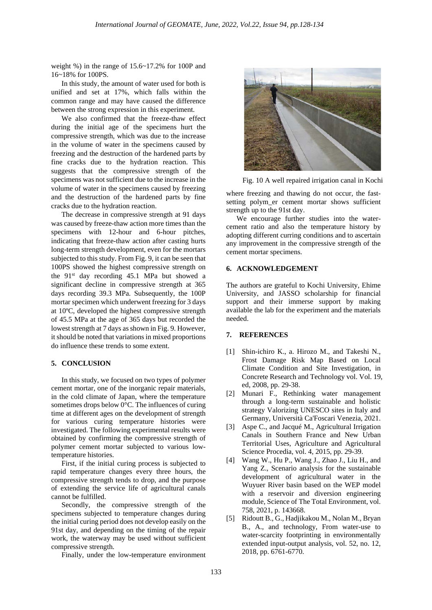weight %) in the range of 15.6~17.2% for 100P and 16~18% for 100PS.

In this study, the amount of water used for both is unified and set at 17%, which falls within the common range and may have caused the difference between the strong expression in this experiment.

We also confirmed that the freeze-thaw effect during the initial age of the specimens hurt the compressive strength, which was due to the increase in the volume of water in the specimens caused by freezing and the destruction of the hardened parts by fine cracks due to the hydration reaction. This suggests that the compressive strength of the specimens was not sufficient due to the increase in the volume of water in the specimens caused by freezing and the destruction of the hardened parts by fine cracks due to the hydration reaction.

The decrease in compressive strength at 91 days was caused by freeze-thaw action more times than the specimens with 12-hour and 6-hour pitches, indicating that freeze-thaw action after casting hurts long-term strength development, even for the mortars subjected to this study. From Fig. 9, it can be seen that 100PS showed the highest compressive strength on the 91<sup>st</sup> day recording 45.1 MPa but showed a significant decline in compressive strength at 365 days recording 39.3 MPa. Subsequently, the 100P mortar specimen which underwent freezing for 3 days at 10ºC, developed the highest compressive strength of 45.5 MPa at the age of 365 days but recorded the lowest strength at 7 days as shown in Fig. 9. However, it should be noted that variations in mixed proportions do influence these trends to some extent.

#### **5. CONCLUSION**

In this study, we focused on two types of polymer cement mortar, one of the inorganic repair materials, in the cold climate of Japan, where the temperature sometimes drops below 0°C. The influences of curing time at different ages on the development of strength for various curing temperature histories were investigated. The following experimental results were obtained by confirming the compressive strength of polymer cement mortar subjected to various lowtemperature histories.

First, if the initial curing process is subjected to rapid temperature changes every three hours, the compressive strength tends to drop, and the purpose of extending the service life of agricultural canals cannot be fulfilled.

Secondly, the compressive strength of the specimens subjected to temperature changes during the initial curing period does not develop easily on the 91st day, and depending on the timing of the repair work, the waterway may be used without sufficient compressive strength.

Finally, under the low-temperature environment



Fig. 10 A well repaired irrigation canal in Kochi

where freezing and thawing do not occur, the fastsetting polym\_er cement mortar shows sufficient strength up to the 91st day.

We encourage further studies into the watercement ratio and also the temperature history by adopting different curring conditions and to ascertain any improvement in the compressive strength of the cement mortar specimens.

# **6. ACKNOWLEDGEMENT**

The authors are grateful to Kochi University, Ehime University, and JASSO scholarship for financial support and their immerse support by making available the lab for the experiment and the materials needed.

## **7. REFERENCES**

- [1] Shin-ichiro K., a. Hirozo M., and Takeshi N., Frost Damage Risk Map Based on Local Climate Condition and Site Investigation, in Concrete Research and Technology vol. Vol. 19, ed, 2008, pp. 29-38.
- [2] Munari F., Rethinking water management through a long-term sustainable and holistic strategy Valorizing UNESCO sites in Italy and Germany, Università Ca'Foscari Venezia, 2021.
- [3] Aspe C., and Jacqué M., Agricultural Irrigation Canals in Southern France and New Urban Territorial Uses, Agriculture and Agricultural Science Procedia, vol. 4, 2015, pp. 29-39.
- [4] Wang W., Hu P., Wang J., Zhao J., Liu H., and Yang Z., Scenario analysis for the sustainable development of agricultural water in the Wuyuer River basin based on the WEP model with a reservoir and diversion engineering module, Science of The Total Environment, vol. 758, 2021, p. 143668.
- [5] Ridoutt B., G., Hadjikakou M., Nolan M., Bryan B., A., and technology, From water-use to water-scarcity footprinting in environmentally extended input-output analysis, vol. 52, no. 12, 2018, pp. 6761-6770.